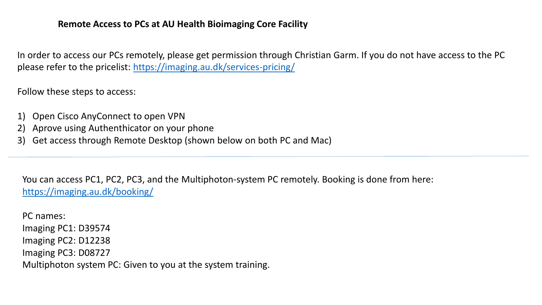# **Remote Access to PCs at AU Health Bioimaging Core Facility**

In order to access our PCs remotely, please get permission through Christian Garm. If you do not have access to the PC please refer to the pricelist: <https://imaging.au.dk/services-pricing/>

Follow these steps to access:

- 1) Open Cisco AnyConnect to open VPN
- 2) Aprove using Authenthicator on your phone
- 3) Get access through Remote Desktop (shown below on both PC and Mac)

You can access PC1, PC2, PC3, and the Multiphoton-system PC remotely. Booking is done from here: <https://imaging.au.dk/booking/>

PC names: Imaging PC1: D39574 Imaging PC2: D12238 Imaging PC3: D08727 Multiphoton system PC: Given to you at the system training.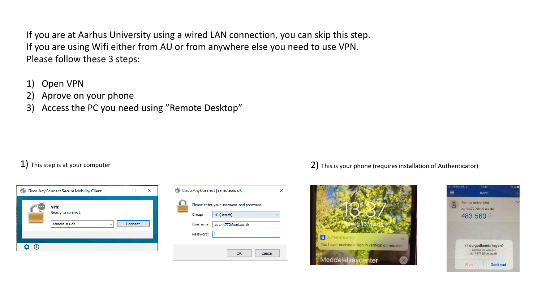If you are at Aarhus University using a wired LAN connection, you can skip this step. If you are using Wifi either from AU or from anywhere else you need to use VPN. Please follow these 3 steps:

- 1) Open VPN
- 2) Aprove on your phone
- 3) Access the PC you need using "Remote Desktop"

| Cisco AnyConnect Secure Mobility Client |                                                  |         | x |
|-----------------------------------------|--------------------------------------------------|---------|---|
|                                         | <b>VPN:</b><br>Ready to connect.<br>remote.au.dk | Connect |   |
|                                         |                                                  |         |   |



### 1) This step is at your computer  $2)$  This is your phone (requires installation of Authenticator)



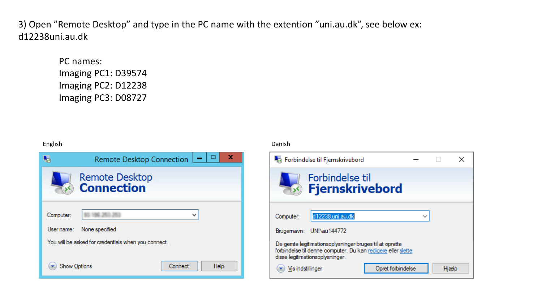3) Open "Remote Desktop" and type in the PC name with the extention "uni.au.dk", see below ex: d12238uni.au.dk

PC names: Imaging PC1: D39574 Imaging PC2: D12238 Imaging PC3: D08727



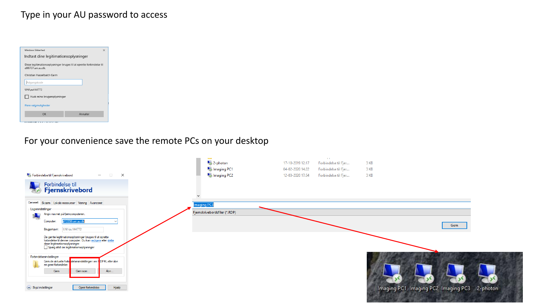# Type in your AU password to access

| Windows Sikkerhed<br>$\times$                                                             |          |  |  |  |  |
|-------------------------------------------------------------------------------------------|----------|--|--|--|--|
| Indtast dine legitimationsoplysninger                                                     |          |  |  |  |  |
| Disse legitimationsoplysninger bruges til at oprette forbindelse til<br>d08727.uni.au.dk. |          |  |  |  |  |
| Christian Hasselbalch Garm                                                                |          |  |  |  |  |
| Adgangskode                                                                               |          |  |  |  |  |
| UNI\au144772                                                                              |          |  |  |  |  |
| Husk mine brugeroplysninger                                                               |          |  |  |  |  |
| Flere valgmuligheder                                                                      |          |  |  |  |  |
| OK                                                                                        | Annuller |  |  |  |  |
|                                                                                           |          |  |  |  |  |

For your convenience save the remote PCs on your desktop